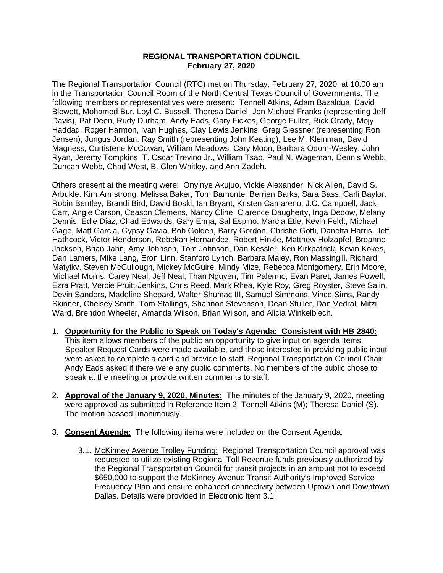## **REGIONAL TRANSPORTATION COUNCIL February 27, 2020**

The Regional Transportation Council (RTC) met on Thursday, February 27, 2020, at 10:00 am in the Transportation Council Room of the North Central Texas Council of Governments. The following members or representatives were present: Tennell Atkins, Adam Bazaldua, David Blewett, Mohamed Bur, Loyl C. Bussell, Theresa Daniel, Jon Michael Franks (representing Jeff Davis), Pat Deen, Rudy Durham, Andy Eads, Gary Fickes, George Fuller, Rick Grady, Mojy Haddad, Roger Harmon, Ivan Hughes, Clay Lewis Jenkins, Greg Giessner (representing Ron Jensen), Jungus Jordan, Ray Smith (representing John Keating), Lee M. Kleinman, David Magness, Curtistene McCowan, William Meadows, Cary Moon, Barbara Odom-Wesley, John Ryan, Jeremy Tompkins, T. Oscar Trevino Jr., William Tsao, Paul N. Wageman, Dennis Webb, Duncan Webb, Chad West, B. Glen Whitley, and Ann Zadeh.

Others present at the meeting were: Onyinye Akujuo, Vickie Alexander, Nick Allen, David S. Arbukle, Kim Armstrong, Melissa Baker, Tom Bamonte, Berrien Barks, Sara Bass, Carli Baylor, Robin Bentley, Brandi Bird, David Boski, Ian Bryant, Kristen Camareno, J.C. Campbell, Jack Carr, Angie Carson, Ceason Clemens, Nancy Cline, Clarence Daugherty, Inga Dedow, Melany Dennis, Edie Diaz, Chad Edwards, Gary Enna, Sal Espino, Marcia Etie, Kevin Feldt, Michael Gage, Matt Garcia, Gypsy Gavia, Bob Golden, Barry Gordon, Christie Gotti, Danetta Harris, Jeff Hathcock, Victor Henderson, Rebekah Hernandez, Robert Hinkle, Matthew Holzapfel, Breanne Jackson, Brian Jahn, Amy Johnson, Tom Johnson, Dan Kessler, Ken Kirkpatrick, Kevin Kokes, Dan Lamers, Mike Lang, Eron Linn, Stanford Lynch, Barbara Maley, Ron Massingill, Richard Matyikv, Steven McCullough, Mickey McGuire, Mindy Mize, Rebecca Montgomery, Erin Moore, Michael Morris, Carey Neal, Jeff Neal, Than Nguyen, Tim Palermo, Evan Paret, James Powell, Ezra Pratt, Vercie Pruitt-Jenkins, Chris Reed, Mark Rhea, Kyle Roy, Greg Royster, Steve Salin, Devin Sanders, Madeline Shepard, Walter Shumac III, Samuel Simmons, Vince Sims, Randy Skinner, Chelsey Smith, Tom Stallings, Shannon Stevenson, Dean Stuller, Dan Vedral, Mitzi Ward, Brendon Wheeler, Amanda Wilson, Brian Wilson, and Alicia Winkelblech.

- 1. **Opportunity for the Public to Speak on Today's Agenda: Consistent with HB 2840:** This item allows members of the public an opportunity to give input on agenda items. Speaker Request Cards were made available, and those interested in providing public input were asked to complete a card and provide to staff. Regional Transportation Council Chair Andy Eads asked if there were any public comments. No members of the public chose to speak at the meeting or provide written comments to staff.
- 2. **Approval of the January 9, 2020, Minutes:** The minutes of the January 9, 2020, meeting were approved as submitted in Reference Item 2. Tennell Atkins (M); Theresa Daniel (S). The motion passed unanimously.
- 3. **Consent Agenda:** The following items were included on the Consent Agenda.
	- 3.1. McKinney Avenue Trolley Funding: Regional Transportation Council approval was requested to utilize existing Regional Toll Revenue funds previously authorized by the Regional Transportation Council for transit projects in an amount not to exceed \$650,000 to support the McKinney Avenue Transit Authority's Improved Service Frequency Plan and ensure enhanced connectivity between Uptown and Downtown Dallas. Details were provided in Electronic Item 3.1.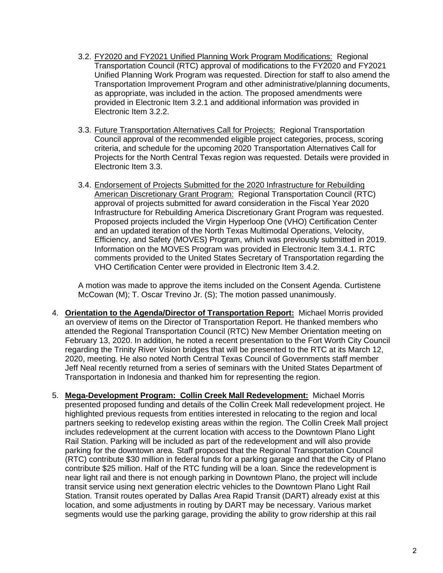- 3.2. FY2020 and FY2021 Unified Planning Work Program Modifications: Regional Transportation Council (RTC) approval of modifications to the FY2020 and FY2021 Unified Planning Work Program was requested. Direction for staff to also amend the Transportation Improvement Program and other administrative/planning documents, as appropriate, was included in the action. The proposed amendments were provided in Electronic Item 3.2.1 and additional information was provided in Electronic Item 3.2.2.
- 3.3. Future Transportation Alternatives Call for Projects: Regional Transportation Council approval of the recommended eligible project categories, process, scoring criteria, and schedule for the upcoming 2020 Transportation Alternatives Call for Projects for the North Central Texas region was requested. Details were provided in Electronic Item 3.3.
- 3.4. Endorsement of Projects Submitted for the 2020 Infrastructure for Rebuilding American Discretionary Grant Program: Regional Transportation Council (RTC) approval of projects submitted for award consideration in the Fiscal Year 2020 Infrastructure for Rebuilding America Discretionary Grant Program was requested. Proposed projects included the Virgin Hyperloop One (VHO) Certification Center and an updated iteration of the North Texas Multimodal Operations, Velocity, Efficiency, and Safety (MOVES) Program, which was previously submitted in 2019. Information on the MOVES Program was provided in Electronic Item 3.4.1. RTC comments provided to the United States Secretary of Transportation regarding the VHO Certification Center were provided in Electronic Item 3.4.2.

A motion was made to approve the items included on the Consent Agenda. Curtistene McCowan (M); T. Oscar Trevino Jr. (S); The motion passed unanimously.

- 4. **Orientation to the Agenda/Director of Transportation Report:** Michael Morris provided an overview of items on the Director of Transportation Report. He thanked members who attended the Regional Transportation Council (RTC) New Member Orientation meeting on February 13, 2020. In addition, he noted a recent presentation to the Fort Worth City Council regarding the Trinity River Vision bridges that will be presented to the RTC at its March 12, 2020, meeting. He also noted North Central Texas Council of Governments staff member Jeff Neal recently returned from a series of seminars with the United States Department of Transportation in Indonesia and thanked him for representing the region.
- 5. **Mega-Development Program: Collin Creek Mall Redevelopment:** Michael Morris presented proposed funding and details of the Collin Creek Mall redevelopment project. He highlighted previous requests from entities interested in relocating to the region and local partners seeking to redevelop existing areas within the region. The Collin Creek Mall project includes redevelopment at the current location with access to the Downtown Plano Light Rail Station. Parking will be included as part of the redevelopment and will also provide parking for the downtown area. Staff proposed that the Regional Transportation Council (RTC) contribute \$30 million in federal funds for a parking garage and that the City of Plano contribute \$25 million. Half of the RTC funding will be a loan. Since the redevelopment is near light rail and there is not enough parking in Downtown Plano, the project will include transit service using next generation electric vehicles to the Downtown Plano Light Rail Station. Transit routes operated by Dallas Area Rapid Transit (DART) already exist at this location, and some adjustments in routing by DART may be necessary. Various market segments would use the parking garage, providing the ability to grow ridership at this rail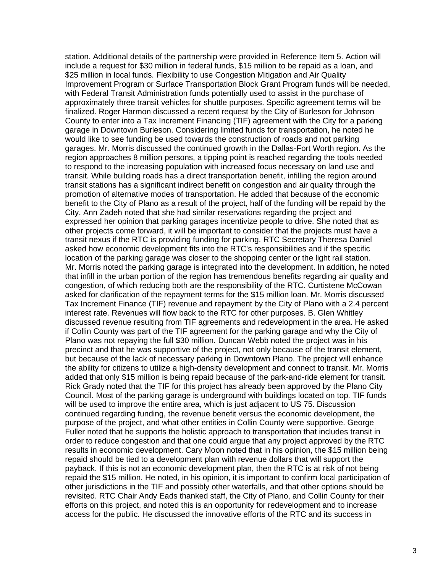station. Additional details of the partnership were provided in Reference Item 5. Action will include a request for \$30 million in federal funds, \$15 million to be repaid as a loan, and \$25 million in local funds. Flexibility to use Congestion Mitigation and Air Quality Improvement Program or Surface Transportation Block Grant Program funds will be needed, with Federal Transit Administration funds potentially used to assist in the purchase of approximately three transit vehicles for shuttle purposes. Specific agreement terms will be finalized. Roger Harmon discussed a recent request by the City of Burleson for Johnson County to enter into a Tax Increment Financing (TIF) agreement with the City for a parking garage in Downtown Burleson. Considering limited funds for transportation, he noted he would like to see funding be used towards the construction of roads and not parking garages. Mr. Morris discussed the continued growth in the Dallas-Fort Worth region. As the region approaches 8 million persons, a tipping point is reached regarding the tools needed to respond to the increasing population with increased focus necessary on land use and transit. While building roads has a direct transportation benefit, infilling the region around transit stations has a significant indirect benefit on congestion and air quality through the promotion of alternative modes of transportation. He added that because of the economic benefit to the City of Plano as a result of the project, half of the funding will be repaid by the City. Ann Zadeh noted that she had similar reservations regarding the project and expressed her opinion that parking garages incentivize people to drive. She noted that as other projects come forward, it will be important to consider that the projects must have a transit nexus if the RTC is providing funding for parking. RTC Secretary Theresa Daniel asked how economic development fits into the RTC's responsibilities and if the specific location of the parking garage was closer to the shopping center or the light rail station. Mr. Morris noted the parking garage is integrated into the development. In addition, he noted that infill in the urban portion of the region has tremendous benefits regarding air quality and congestion, of which reducing both are the responsibility of the RTC. Curtistene McCowan asked for clarification of the repayment terms for the \$15 million loan. Mr. Morris discussed Tax Increment Finance (TIF) revenue and repayment by the City of Plano with a 2.4 percent interest rate. Revenues will flow back to the RTC for other purposes. B. Glen Whitley discussed revenue resulting from TIF agreements and redevelopment in the area. He asked if Collin County was part of the TIF agreement for the parking garage and why the City of Plano was not repaying the full \$30 million. Duncan Webb noted the project was in his precinct and that he was supportive of the project, not only because of the transit element, but because of the lack of necessary parking in Downtown Plano. The project will enhance the ability for citizens to utilize a high-density development and connect to transit. Mr. Morris added that only \$15 million is being repaid because of the park-and-ride element for transit. Rick Grady noted that the TIF for this project has already been approved by the Plano City Council. Most of the parking garage is underground with buildings located on top. TIF funds will be used to improve the entire area, which is just adjacent to US 75. Discussion continued regarding funding, the revenue benefit versus the economic development, the purpose of the project, and what other entities in Collin County were supportive. George Fuller noted that he supports the holistic approach to transportation that includes transit in order to reduce congestion and that one could argue that any project approved by the RTC results in economic development. Cary Moon noted that in his opinion, the \$15 million being repaid should be tied to a development plan with revenue dollars that will support the payback. If this is not an economic development plan, then the RTC is at risk of not being repaid the \$15 million. He noted, in his opinion, it is important to confirm local participation of other jurisdictions in the TIF and possibly other waterfalls, and that other options should be revisited. RTC Chair Andy Eads thanked staff, the City of Plano, and Collin County for their efforts on this project, and noted this is an opportunity for redevelopment and to increase access for the public. He discussed the innovative efforts of the RTC and its success in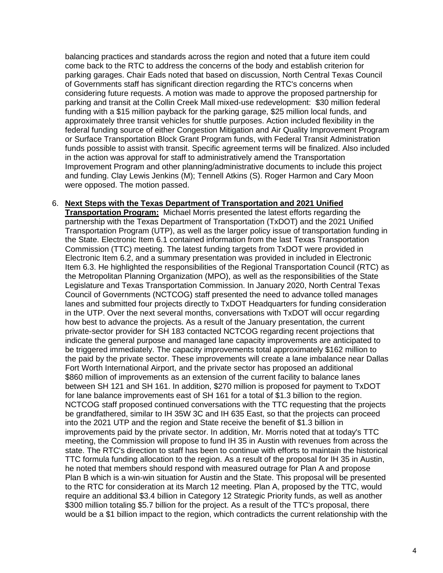balancing practices and standards across the region and noted that a future item could come back to the RTC to address the concerns of the body and establish criterion for parking garages. Chair Eads noted that based on discussion, North Central Texas Council of Governments staff has significant direction regarding the RTC's concerns when considering future requests. A motion was made to approve the proposed partnership for parking and transit at the Collin Creek Mall mixed-use redevelopment: \$30 million federal funding with a \$15 million payback for the parking garage, \$25 million local funds, and approximately three transit vehicles for shuttle purposes. Action included flexibility in the federal funding source of either Congestion Mitigation and Air Quality Improvement Program or Surface Transportation Block Grant Program funds, with Federal Transit Administration funds possible to assist with transit. Specific agreement terms will be finalized. Also included in the action was approval for staff to administratively amend the Transportation Improvement Program and other planning/administrative documents to include this project and funding. Clay Lewis Jenkins (M); Tennell Atkins (S). Roger Harmon and Cary Moon were opposed. The motion passed.

## 6. **Next Steps with the Texas Department of Transportation and 2021 Unified**

**Transportation Program:** Michael Morris presented the latest efforts regarding the partnership with the Texas Department of Transportation (TxDOT) and the 2021 Unified Transportation Program (UTP), as well as the larger policy issue of transportation funding in the State. Electronic Item 6.1 contained information from the last Texas Transportation Commission (TTC) meeting. The latest funding targets from TxDOT were provided in Electronic Item 6.2, and a summary presentation was provided in included in Electronic Item 6.3. He highlighted the responsibilities of the Regional Transportation Council (RTC) as the Metropolitan Planning Organization (MPO), as well as the responsibilities of the State Legislature and Texas Transportation Commission. In January 2020, North Central Texas Council of Governments (NCTCOG) staff presented the need to advance tolled manages lanes and submitted four projects directly to TxDOT Headquarters for funding consideration in the UTP. Over the next several months, conversations with TxDOT will occur regarding how best to advance the projects. As a result of the January presentation, the current private-sector provider for SH 183 contacted NCTCOG regarding recent projections that indicate the general purpose and managed lane capacity improvements are anticipated to be triggered immediately. The capacity improvements total approximately \$162 million to the paid by the private sector. These improvements will create a lane imbalance near Dallas Fort Worth International Airport, and the private sector has proposed an additional \$860 million of improvements as an extension of the current facility to balance lanes between SH 121 and SH 161. In addition, \$270 million is proposed for payment to TxDOT for lane balance improvements east of SH 161 for a total of \$1.3 billion to the region. NCTCOG staff proposed continued conversations with the TTC requesting that the projects be grandfathered, similar to IH 35W 3C and IH 635 East, so that the projects can proceed into the 2021 UTP and the region and State receive the benefit of \$1.3 billion in improvements paid by the private sector. In addition, Mr. Morris noted that at today's TTC meeting, the Commission will propose to fund IH 35 in Austin with revenues from across the state. The RTC's direction to staff has been to continue with efforts to maintain the historical TTC formula funding allocation to the region. As a result of the proposal for IH 35 in Austin, he noted that members should respond with measured outrage for Plan A and propose Plan B which is a win-win situation for Austin and the State. This proposal will be presented to the RTC for consideration at its March 12 meeting. Plan A, proposed by the TTC, would require an additional \$3.4 billion in Category 12 Strategic Priority funds, as well as another \$300 million totaling \$5.7 billion for the project. As a result of the TTC's proposal, there would be a \$1 billion impact to the region, which contradicts the current relationship with the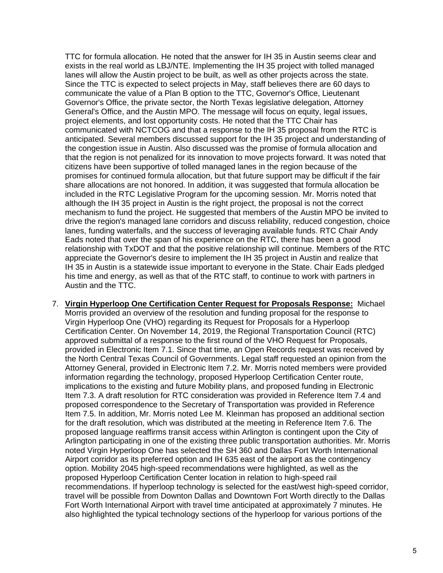TTC for formula allocation. He noted that the answer for IH 35 in Austin seems clear and exists in the real world as LBJ/NTE. Implementing the IH 35 project with tolled managed lanes will allow the Austin project to be built, as well as other projects across the state. Since the TTC is expected to select projects in May, staff believes there are 60 days to communicate the value of a Plan B option to the TTC, Governor's Office, Lieutenant Governor's Office, the private sector, the North Texas legislative delegation, Attorney General's Office, and the Austin MPO. The message will focus on equity, legal issues, project elements, and lost opportunity costs. He noted that the TTC Chair has communicated with NCTCOG and that a response to the IH 35 proposal from the RTC is anticipated. Several members discussed support for the IH 35 project and understanding of the congestion issue in Austin. Also discussed was the promise of formula allocation and that the region is not penalized for its innovation to move projects forward. It was noted that citizens have been supportive of tolled managed lanes in the region because of the promises for continued formula allocation, but that future support may be difficult if the fair share allocations are not honored. In addition, it was suggested that formula allocation be included in the RTC Legislative Program for the upcoming session. Mr. Morris noted that although the IH 35 project in Austin is the right project, the proposal is not the correct mechanism to fund the project. He suggested that members of the Austin MPO be invited to drive the region's managed lane corridors and discuss reliability, reduced congestion, choice lanes, funding waterfalls, and the success of leveraging available funds. RTC Chair Andy Eads noted that over the span of his experience on the RTC, there has been a good relationship with TxDOT and that the positive relationship will continue. Members of the RTC appreciate the Governor's desire to implement the IH 35 project in Austin and realize that IH 35 in Austin is a statewide issue important to everyone in the State. Chair Eads pledged his time and energy, as well as that of the RTC staff, to continue to work with partners in Austin and the TTC.

7. **Virgin Hyperloop One Certification Center Request for Proposals Response:** Michael Morris provided an overview of the resolution and funding proposal for the response to Virgin Hyperloop One (VHO) regarding its Request for Proposals for a Hyperloop Certification Center. On November 14, 2019, the Regional Transportation Council (RTC) approved submittal of a response to the first round of the VHO Request for Proposals, provided in Electronic Item 7.1. Since that time, an Open Records request was received by the North Central Texas Council of Governments. Legal staff requested an opinion from the Attorney General, provided in Electronic Item 7.2. Mr. Morris noted members were provided information regarding the technology, proposed Hyperloop Certification Center route, implications to the existing and future Mobility plans, and proposed funding in Electronic Item 7.3. A draft resolution for RTC consideration was provided in Reference Item 7.4 and proposed correspondence to the Secretary of Transportation was provided in Reference Item 7.5. In addition, Mr. Morris noted Lee M. Kleinman has proposed an additional section for the draft resolution, which was distributed at the meeting in Reference Item 7.6. The proposed language reaffirms transit access within Arlington is contingent upon the City of Arlington participating in one of the existing three public transportation authorities. Mr. Morris noted Virgin Hyperloop One has selected the SH 360 and Dallas Fort Worth International Airport corridor as its preferred option and IH 635 east of the airport as the contingency option. Mobility 2045 high-speed recommendations were highlighted, as well as the proposed Hyperloop Certification Center location in relation to high-speed rail recommendations. If hyperloop technology is selected for the east/west high-speed corridor, travel will be possible from Downton Dallas and Downtown Fort Worth directly to the Dallas Fort Worth International Airport with travel time anticipated at approximately 7 minutes. He also highlighted the typical technology sections of the hyperloop for various portions of the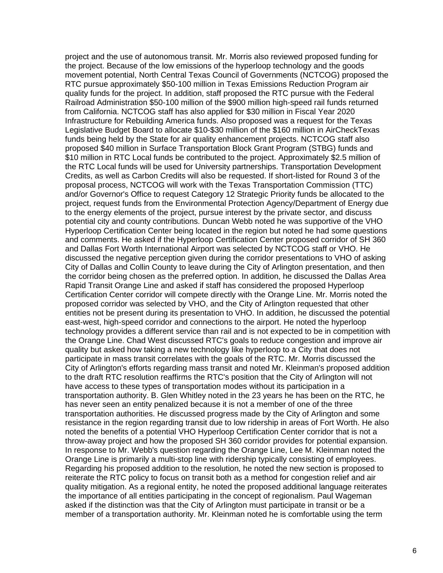project and the use of autonomous transit. Mr. Morris also reviewed proposed funding for the project. Because of the low emissions of the hyperloop technology and the goods movement potential, North Central Texas Council of Governments (NCTCOG) proposed the RTC pursue approximately \$50-100 million in Texas Emissions Reduction Program air quality funds for the project. In addition, staff proposed the RTC pursue with the Federal Railroad Administration \$50-100 million of the \$900 million high-speed rail funds returned from California. NCTCOG staff has also applied for \$30 million in Fiscal Year 2020 Infrastructure for Rebuilding America funds. Also proposed was a request for the Texas Legislative Budget Board to allocate \$10-\$30 million of the \$160 million in AirCheckTexas funds being held by the State for air quality enhancement projects. NCTCOG staff also proposed \$40 million in Surface Transportation Block Grant Program (STBG) funds and \$10 million in RTC Local funds be contributed to the project. Approximately \$2.5 million of the RTC Local funds will be used for University partnerships. Transportation Development Credits, as well as Carbon Credits will also be requested. If short-listed for Round 3 of the proposal process, NCTCOG will work with the Texas Transportation Commission (TTC) and/or Governor's Office to request Category 12 Strategic Priority funds be allocated to the project, request funds from the Environmental Protection Agency/Department of Energy due to the energy elements of the project, pursue interest by the private sector, and discuss potential city and county contributions. Duncan Webb noted he was supportive of the VHO Hyperloop Certification Center being located in the region but noted he had some questions and comments. He asked if the Hyperloop Certification Center proposed corridor of SH 360 and Dallas Fort Worth International Airport was selected by NCTCOG staff or VHO. He discussed the negative perception given during the corridor presentations to VHO of asking City of Dallas and Collin County to leave during the City of Arlington presentation, and then the corridor being chosen as the preferred option. In addition, he discussed the Dallas Area Rapid Transit Orange Line and asked if staff has considered the proposed Hyperloop Certification Center corridor will compete directly with the Orange Line. Mr. Morris noted the proposed corridor was selected by VHO, and the City of Arlington requested that other entities not be present during its presentation to VHO. In addition, he discussed the potential east-west, high-speed corridor and connections to the airport. He noted the hyperloop technology provides a different service than rail and is not expected to be in competition with the Orange Line. Chad West discussed RTC's goals to reduce congestion and improve air quality but asked how taking a new technology like hyperloop to a City that does not participate in mass transit correlates with the goals of the RTC. Mr. Morris discussed the City of Arlington's efforts regarding mass transit and noted Mr. Kleinman's proposed addition to the draft RTC resolution reaffirms the RTC's position that the City of Arlington will not have access to these types of transportation modes without its participation in a transportation authority. B. Glen Whitley noted in the 23 years he has been on the RTC, he has never seen an entity penalized because it is not a member of one of the three transportation authorities. He discussed progress made by the City of Arlington and some resistance in the region regarding transit due to low ridership in areas of Fort Worth. He also noted the benefits of a potential VHO Hyperloop Certification Center corridor that is not a throw-away project and how the proposed SH 360 corridor provides for potential expansion. In response to Mr. Webb's question regarding the Orange Line, Lee M. Kleinman noted the Orange Line is primarily a multi-stop line with ridership typically consisting of employees. Regarding his proposed addition to the resolution, he noted the new section is proposed to reiterate the RTC policy to focus on transit both as a method for congestion relief and air quality mitigation. As a regional entity, he noted the proposed additional language reiterates the importance of all entities participating in the concept of regionalism. Paul Wageman asked if the distinction was that the City of Arlington must participate in transit or be a member of a transportation authority. Mr. Kleinman noted he is comfortable using the term